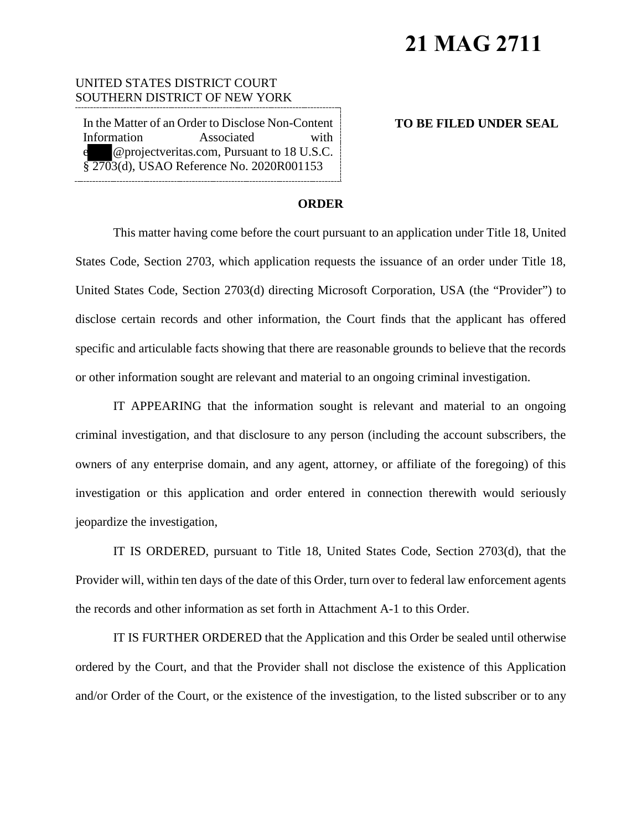# **21 MAG 2711**

### UNITED STATES DISTRICT COURT SOUTHERN DISTRICT OF NEW YORK

In the Matter of an Order to Disclose Non-Content Information Associated with e @projectveritas.com, Pursuant to 18 U.S.C. § 2703(d), USAO Reference No. 2020R001153

#### **TO BE FILED UNDER SEAL**

#### **ORDER**

This matter having come before the court pursuant to an application under Title 18, United States Code, Section 2703, which application requests the issuance of an order under Title 18, United States Code, Section 2703(d) directing Microsoft Corporation, USA (the "Provider") to disclose certain records and other information, the Court finds that the applicant has offered specific and articulable facts showing that there are reasonable grounds to believe that the records or other information sought are relevant and material to an ongoing criminal investigation.

IT APPEARING that the information sought is relevant and material to an ongoing criminal investigation, and that disclosure to any person (including the account subscribers, the owners of any enterprise domain, and any agent, attorney, or affiliate of the foregoing) of this investigation or this application and order entered in connection therewith would seriously jeopardize the investigation,

IT IS ORDERED, pursuant to Title 18, United States Code, Section 2703(d), that the Provider will, within ten days of the date of this Order, turn over to federal law enforcement agents the records and other information as set forth in Attachment A-1 to this Order.

IT IS FURTHER ORDERED that the Application and this Order be sealed until otherwise ordered by the Court, and that the Provider shall not disclose the existence of this Application and/or Order of the Court, or the existence of the investigation, to the listed subscriber or to any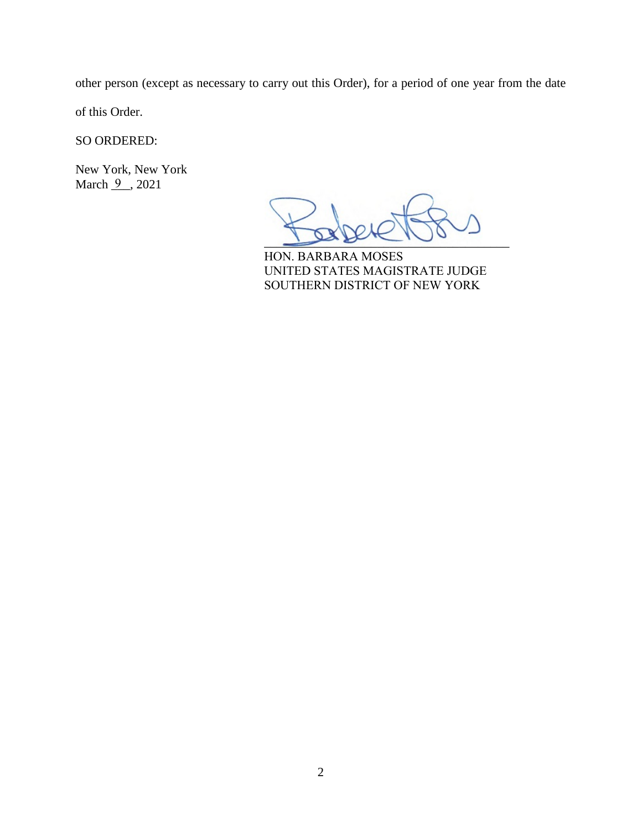other person (except as necessary to carry out this Order), for a period of one year from the date

of this Order.

SO ORDERED:

New York, New York March <u>9</u>, 2021

 $L_{\text{max}}$ 

HON. BARBARA MOSES UNITED STATES MAGISTRATE JUDGE SOUTHERN DISTRICT OF NEW YORK